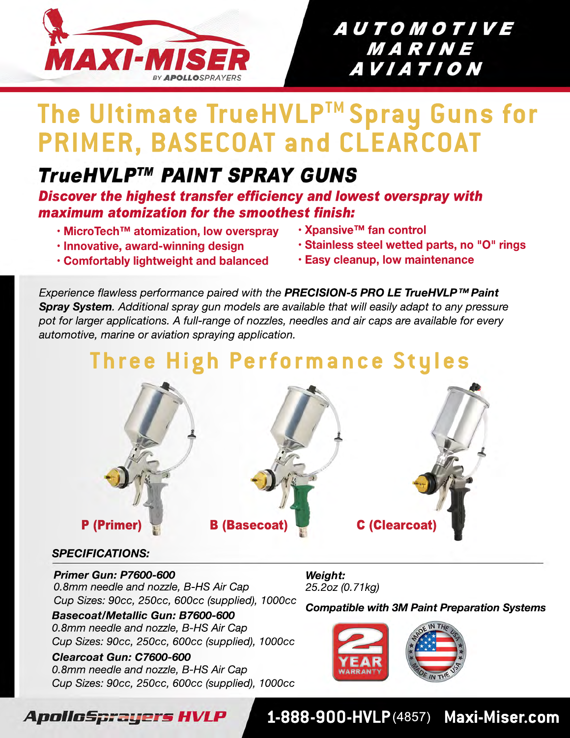

### **AUTOMOTIVE** MARINE *AVIATION*

# **The Ultimate TrueHVLPTM Spray Guns for PRIMER, BASECOAT and CLEARCOAT**

## **TrueHVLP™ PAINT SPRAY GUNS**

*Discover the highest transfer efficiency and lowest overspray with maximum atomization for the smoothest finish:*

- **• MicroTech™ atomization, low overspray**
- **• Innovative, award-winning design**
- **• Xpansive™ fan control**
- **• Stainless steel wetted parts, no "O" rings**
- **• Comfortably lightweight and balanced • Easy cleanup, low maintenance**

*Experience flawless performance paired with the PRECISION-5 PRO LE TrueHVLP™ Paint Spray System. Additional spray gun models are available that will easily adapt to any pressure pot for larger applications. A full-range of nozzles, needles and air caps are available for every automotive, marine or aviation spraying application.*

# **Three High Performance Styles**



#### *SPECIFICATIONS:*

*0.8mm needle and nozzle, B-HS Air Cap Cup Sizes: 90cc, 250cc, 600cc (supplied), 1000cc Primer Gun: P7600-600*

*0.8mm needle and nozzle, B-HS Air Cap Cup Sizes: 90cc, 250cc, 600cc (supplied), 1000cc Basecoat/Metallic Gun: B7600-600*

#### *0.8mm needle and nozzle, B-HS Air Cap Cup Sizes: 90cc, 250cc, 600cc (supplied), 1000cc Clearcoat Gun: C7600-600*

*25.2oz (0.71kg) Weight:*

*Compatible with 3M Paint Preparation Systems*



#### ApolloSprayers HVLP

#### **1-888-900-HVLP**(4857) **Maxi-Miser.com**